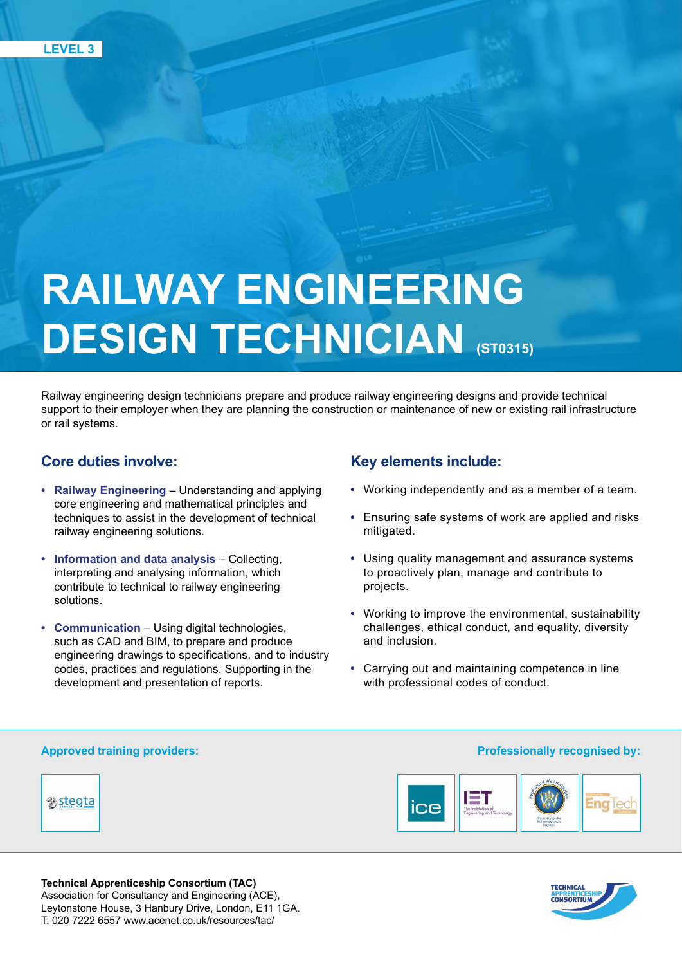# **RAILWAY ENGINEERING DESIGN TECHNICIAN (ST0315)**

Railway engineering design technicians prepare and produce railway engineering designs and provide technical support to their employer when they are planning the construction or maintenance of new or existing rail infrastructure or rail systems.

# **Core duties involve:**

- **• Railway Engineering**  Understanding and applying core engineering and mathematical principles and techniques to assist in the development of technical railway engineering solutions.
- **• Information and data analysis** Collecting, interpreting and analysing information, which contribute to technical to railway engineering solutions.
- **• Communication** Using digital technologies, such as CAD and BIM, to prepare and produce engineering drawings to specifications, and to industry codes, practices and regulations. Supporting in the development and presentation of reports.

# **Key elements include:**

- **•** Working independently and as a member of a team.
- **•** Ensuring safe systems of work are applied and risks mitigated.
- **•** Using quality management and assurance systems to proactively plan, manage and contribute to projects.
- **•** Working to improve the environmental, sustainability challenges, ethical conduct, and equality, diversity and inclusion.
- **•** Carrying out and maintaining competence in line with professional codes of conduct.

## **Approved training providers:**

%stegta



**Professionally recognised by:**



**Technical Apprenticeship Consortium (TAC)**  Association for Consultancy and Engineering (ACE), Leytonstone House, 3 Hanbury Drive, London, E11 1GA. T: 020 7222 6557 www.acenet.co.uk/resources/tac/